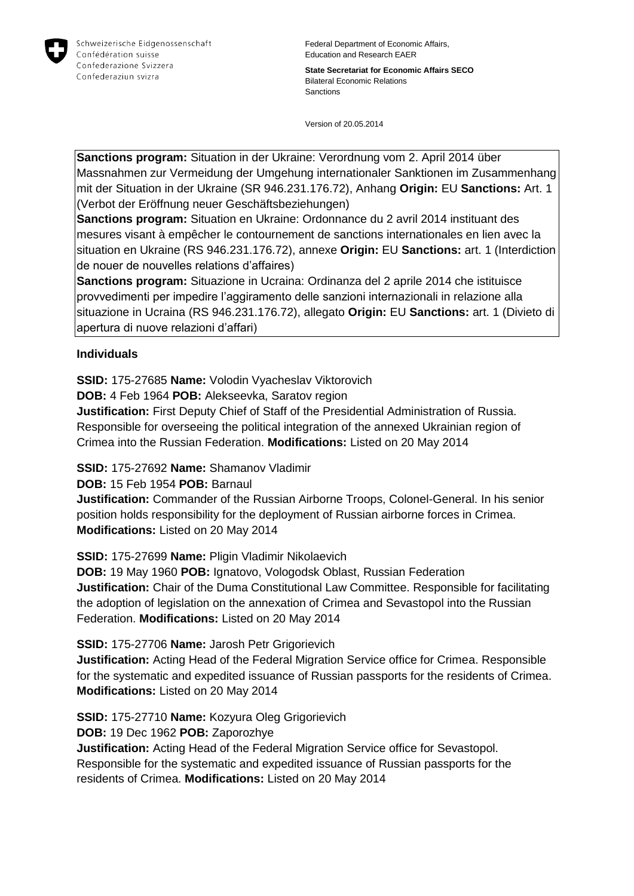

Federal Department of Economic Affairs, Education and Research EAER

**State Secretariat for Economic Affairs SECO** Bilateral Economic Relations Sanctions

Version of 20.05.2014

**Sanctions program:** Situation in der Ukraine: Verordnung vom 2. April 2014 über Massnahmen zur Vermeidung der Umgehung internationaler Sanktionen im Zusammenhang mit der Situation in der Ukraine (SR 946.231.176.72), Anhang **Origin:** EU **Sanctions:** Art. 1 (Verbot der Eröffnung neuer Geschäftsbeziehungen)

**Sanctions program:** Situation en Ukraine: Ordonnance du 2 avril 2014 instituant des mesures visant à empêcher le contournement de sanctions internationales en lien avec la situation en Ukraine (RS 946.231.176.72), annexe **Origin:** EU **Sanctions:** art. 1 (Interdiction de nouer de nouvelles relations d'affaires)

**Sanctions program:** Situazione in Ucraina: Ordinanza del 2 aprile 2014 che istituisce provvedimenti per impedire l'aggiramento delle sanzioni internazionali in relazione alla situazione in Ucraina (RS 946.231.176.72), allegato **Origin:** EU **Sanctions:** art. 1 (Divieto di apertura di nuove relazioni d'affari)

#### **Individuals**

**SSID:** 175-27685 **Name:** Volodin Vyacheslav Viktorovich

**DOB:** 4 Feb 1964 **POB:** Alekseevka, Saratov region

**Justification:** First Deputy Chief of Staff of the Presidential Administration of Russia. Responsible for overseeing the political integration of the annexed Ukrainian region of Crimea into the Russian Federation. **Modifications:** Listed on 20 May 2014

**SSID:** 175-27692 **Name:** Shamanov Vladimir

**DOB:** 15 Feb 1954 **POB:** Barnaul

**Justification:** Commander of the Russian Airborne Troops, Colonel-General. In his senior position holds responsibility for the deployment of Russian airborne forces in Crimea. **Modifications:** Listed on 20 May 2014

**SSID:** 175-27699 **Name:** Pligin Vladimir Nikolaevich

**DOB:** 19 May 1960 **POB:** Ignatovo, Vologodsk Oblast, Russian Federation **Justification:** Chair of the Duma Constitutional Law Committee. Responsible for facilitating the adoption of legislation on the annexation of Crimea and Sevastopol into the Russian Federation. **Modifications:** Listed on 20 May 2014

**SSID:** 175-27706 **Name:** Jarosh Petr Grigorievich

**Justification:** Acting Head of the Federal Migration Service office for Crimea. Responsible for the systematic and expedited issuance of Russian passports for the residents of Crimea. **Modifications:** Listed on 20 May 2014

**SSID:** 175-27710 **Name:** Kozyura Oleg Grigorievich

**DOB:** 19 Dec 1962 **POB:** Zaporozhye

**Justification:** Acting Head of the Federal Migration Service office for Sevastopol. Responsible for the systematic and expedited issuance of Russian passports for the residents of Crimea. **Modifications:** Listed on 20 May 2014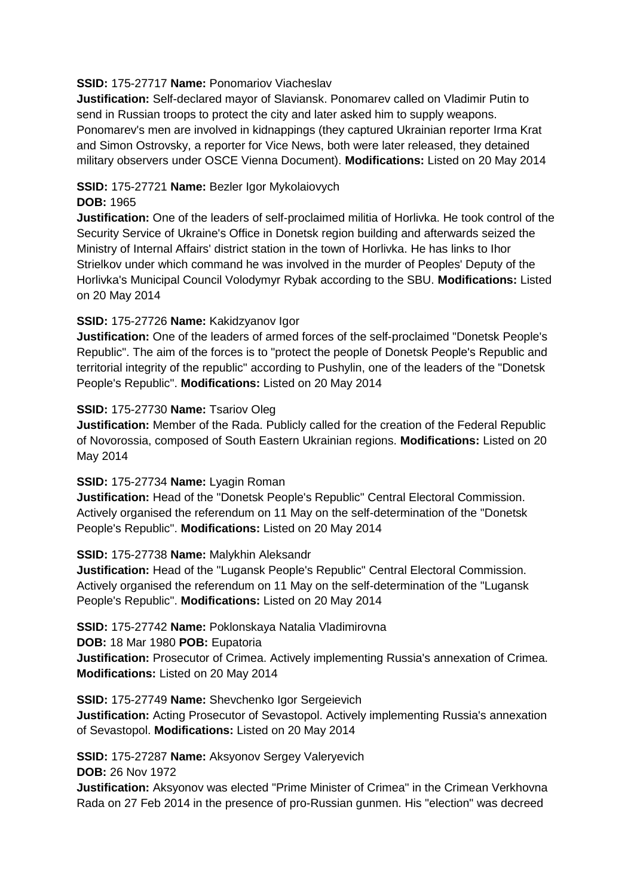#### **SSID:** 175-27717 **Name:** Ponomariov Viacheslav

**Justification:** Self-declared mayor of Slaviansk. Ponomarev called on Vladimir Putin to send in Russian troops to protect the city and later asked him to supply weapons. Ponomarev's men are involved in kidnappings (they captured Ukrainian reporter Irma Krat and Simon Ostrovsky, a reporter for Vice News, both were later released, they detained military observers under OSCE Vienna Document). **Modifications:** Listed on 20 May 2014

# **SSID:** 175-27721 **Name:** Bezler Igor Mykolaiovych

#### **DOB:** 1965

**Justification:** One of the leaders of self-proclaimed militia of Horlivka. He took control of the Security Service of Ukraine's Office in Donetsk region building and afterwards seized the Ministry of Internal Affairs' district station in the town of Horlivka. He has links to Ihor Strielkov under which command he was involved in the murder of Peoples' Deputy of the Horlivka's Municipal Council Volodymyr Rybak according to the SBU. **Modifications:** Listed on 20 May 2014

# **SSID:** 175-27726 **Name:** Kakidzyanov Igor

**Justification:** One of the leaders of armed forces of the self-proclaimed "Donetsk People's Republic". The aim of the forces is to "protect the people of Donetsk People's Republic and territorial integrity of the republic" according to Pushylin, one of the leaders of the "Donetsk People's Republic". **Modifications:** Listed on 20 May 2014

#### **SSID:** 175-27730 **Name:** Tsariov Oleg

**Justification:** Member of the Rada. Publicly called for the creation of the Federal Republic of Novorossia, composed of South Eastern Ukrainian regions. **Modifications:** Listed on 20 May 2014

# **SSID:** 175-27734 **Name:** Lyagin Roman

**Justification:** Head of the "Donetsk People's Republic" Central Electoral Commission. Actively organised the referendum on 11 May on the self-determination of the "Donetsk People's Republic". **Modifications:** Listed on 20 May 2014

# **SSID:** 175-27738 **Name:** Malykhin Aleksandr

**Justification:** Head of the "Lugansk People's Republic" Central Electoral Commission. Actively organised the referendum on 11 May on the self-determination of the "Lugansk People's Republic". **Modifications:** Listed on 20 May 2014

#### **SSID:** 175-27742 **Name:** Poklonskaya Natalia Vladimirovna

**DOB:** 18 Mar 1980 **POB:** Eupatoria

**Justification:** Prosecutor of Crimea. Actively implementing Russia's annexation of Crimea. **Modifications:** Listed on 20 May 2014

#### **SSID:** 175-27749 **Name:** Shevchenko Igor Sergeievich

**Justification:** Acting Prosecutor of Sevastopol. Actively implementing Russia's annexation of Sevastopol. **Modifications:** Listed on 20 May 2014

**SSID:** 175-27287 **Name:** Aksyonov Sergey Valeryevich **DOB:** 26 Nov 1972

**Justification:** Aksyonov was elected "Prime Minister of Crimea" in the Crimean Verkhovna Rada on 27 Feb 2014 in the presence of pro-Russian gunmen. His "election" was decreed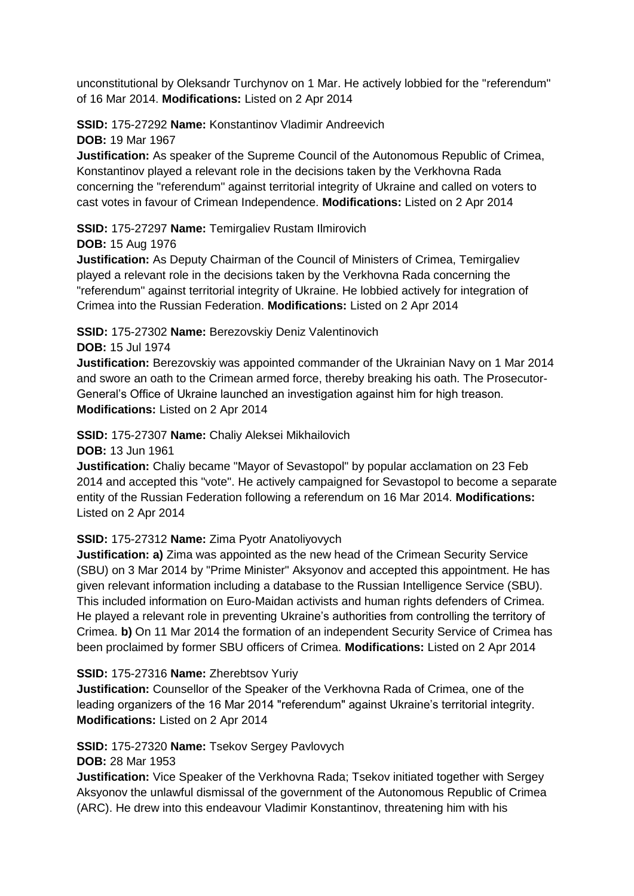unconstitutional by Oleksandr Turchynov on 1 Mar. He actively lobbied for the "referendum" of 16 Mar 2014. **Modifications:** Listed on 2 Apr 2014

# **SSID:** 175-27292 **Name:** Konstantinov Vladimir Andreevich

**DOB:** 19 Mar 1967 **Justification:** As speaker of the Supreme Council of the Autonomous Republic of Crimea, Konstantinov played a relevant role in the decisions taken by the Verkhovna Rada concerning the "referendum" against territorial integrity of Ukraine and called on voters to

cast votes in favour of Crimean Independence. **Modifications:** Listed on 2 Apr 2014

**SSID:** 175-27297 **Name:** Temirgaliev Rustam Ilmirovich

# **DOB:** 15 Aug 1976

**Justification:** As Deputy Chairman of the Council of Ministers of Crimea, Temirgaliev played a relevant role in the decisions taken by the Verkhovna Rada concerning the "referendum" against territorial integrity of Ukraine. He lobbied actively for integration of Crimea into the Russian Federation. **Modifications:** Listed on 2 Apr 2014

**SSID:** 175-27302 **Name:** Berezovskiy Deniz Valentinovich

**DOB:** 15 Jul 1974

**Justification:** Berezovskiy was appointed commander of the Ukrainian Navy on 1 Mar 2014 and swore an oath to the Crimean armed force, thereby breaking his oath. The Prosecutor-General's Office of Ukraine launched an investigation against him for high treason. **Modifications:** Listed on 2 Apr 2014

**SSID:** 175-27307 **Name:** Chaliy Aleksei Mikhailovich

**DOB:** 13 Jun 1961

**Justification:** Chaliy became "Mayor of Sevastopol" by popular acclamation on 23 Feb 2014 and accepted this "vote". He actively campaigned for Sevastopol to become a separate entity of the Russian Federation following a referendum on 16 Mar 2014. **Modifications:**  Listed on 2 Apr 2014

# **SSID:** 175-27312 **Name:** Zima Pyotr Anatoliyovych

**Justification: a)** Zima was appointed as the new head of the Crimean Security Service (SBU) on 3 Mar 2014 by "Prime Minister" Aksyonov and accepted this appointment. He has given relevant information including a database to the Russian Intelligence Service (SBU). This included information on Euro-Maidan activists and human rights defenders of Crimea. He played a relevant role in preventing Ukraine's authorities from controlling the territory of Crimea. **b)** On 11 Mar 2014 the formation of an independent Security Service of Crimea has been proclaimed by former SBU officers of Crimea. **Modifications:** Listed on 2 Apr 2014

# **SSID:** 175-27316 **Name:** Zherebtsov Yuriy

**Justification:** Counsellor of the Speaker of the Verkhovna Rada of Crimea, one of the leading organizers of the 16 Mar 2014 "referendum" against Ukraine's territorial integrity. **Modifications:** Listed on 2 Apr 2014

# **SSID:** 175-27320 **Name:** Tsekov Sergey Pavlovych

**DOB:** 28 Mar 1953

**Justification:** Vice Speaker of the Verkhovna Rada; Tsekov initiated together with Sergey Aksyonov the unlawful dismissal of the government of the Autonomous Republic of Crimea (ARC). He drew into this endeavour Vladimir Konstantinov, threatening him with his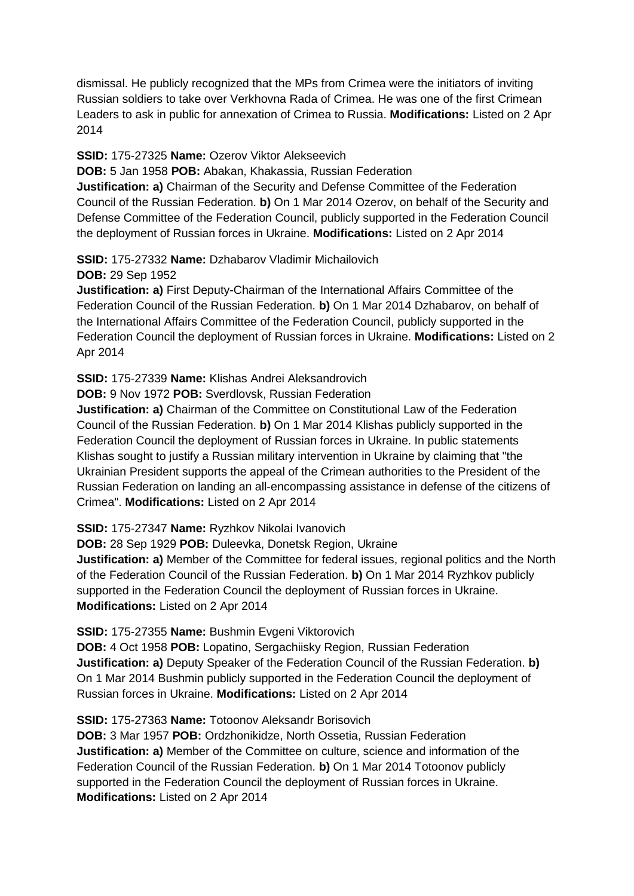dismissal. He publicly recognized that the MPs from Crimea were the initiators of inviting Russian soldiers to take over Verkhovna Rada of Crimea. He was one of the first Crimean Leaders to ask in public for annexation of Crimea to Russia. **Modifications:** Listed on 2 Apr 2014

#### **SSID:** 175-27325 **Name:** Ozerov Viktor Alekseevich

**DOB:** 5 Jan 1958 **POB:** Abakan, Khakassia, Russian Federation

**Justification: a)** Chairman of the Security and Defense Committee of the Federation Council of the Russian Federation. **b)** On 1 Mar 2014 Ozerov, on behalf of the Security and Defense Committee of the Federation Council, publicly supported in the Federation Council the deployment of Russian forces in Ukraine. **Modifications:** Listed on 2 Apr 2014

#### **SSID:** 175-27332 **Name:** Dzhabarov Vladimir Michailovich

**DOB:** 29 Sep 1952

**Justification: a)** First Deputy-Chairman of the International Affairs Committee of the Federation Council of the Russian Federation. **b)** On 1 Mar 2014 Dzhabarov, on behalf of the International Affairs Committee of the Federation Council, publicly supported in the Federation Council the deployment of Russian forces in Ukraine. **Modifications:** Listed on 2 Apr 2014

#### **SSID:** 175-27339 **Name:** Klishas Andrei Aleksandrovich

**DOB:** 9 Nov 1972 **POB:** Sverdlovsk, Russian Federation

**Justification: a)** Chairman of the Committee on Constitutional Law of the Federation Council of the Russian Federation. **b)** On 1 Mar 2014 Klishas publicly supported in the Federation Council the deployment of Russian forces in Ukraine. In public statements Klishas sought to justify a Russian military intervention in Ukraine by claiming that "the Ukrainian President supports the appeal of the Crimean authorities to the President of the Russian Federation on landing an all-encompassing assistance in defense of the citizens of Crimea". **Modifications:** Listed on 2 Apr 2014

**SSID:** 175-27347 **Name:** Ryzhkov Nikolai Ivanovich

**DOB:** 28 Sep 1929 **POB:** Duleevka, Donetsk Region, Ukraine

**Justification: a)** Member of the Committee for federal issues, regional politics and the North of the Federation Council of the Russian Federation. **b)** On 1 Mar 2014 Ryzhkov publicly supported in the Federation Council the deployment of Russian forces in Ukraine. **Modifications:** Listed on 2 Apr 2014

**SSID:** 175-27355 **Name:** Bushmin Evgeni Viktorovich

**DOB:** 4 Oct 1958 **POB:** Lopatino, Sergachiisky Region, Russian Federation **Justification: a)** Deputy Speaker of the Federation Council of the Russian Federation. **b)**  On 1 Mar 2014 Bushmin publicly supported in the Federation Council the deployment of Russian forces in Ukraine. **Modifications:** Listed on 2 Apr 2014

#### **SSID:** 175-27363 **Name:** Totoonov Aleksandr Borisovich

**DOB:** 3 Mar 1957 **POB:** Ordzhonikidze, North Ossetia, Russian Federation **Justification: a)** Member of the Committee on culture, science and information of the Federation Council of the Russian Federation. **b)** On 1 Mar 2014 Totoonov publicly supported in the Federation Council the deployment of Russian forces in Ukraine. **Modifications:** Listed on 2 Apr 2014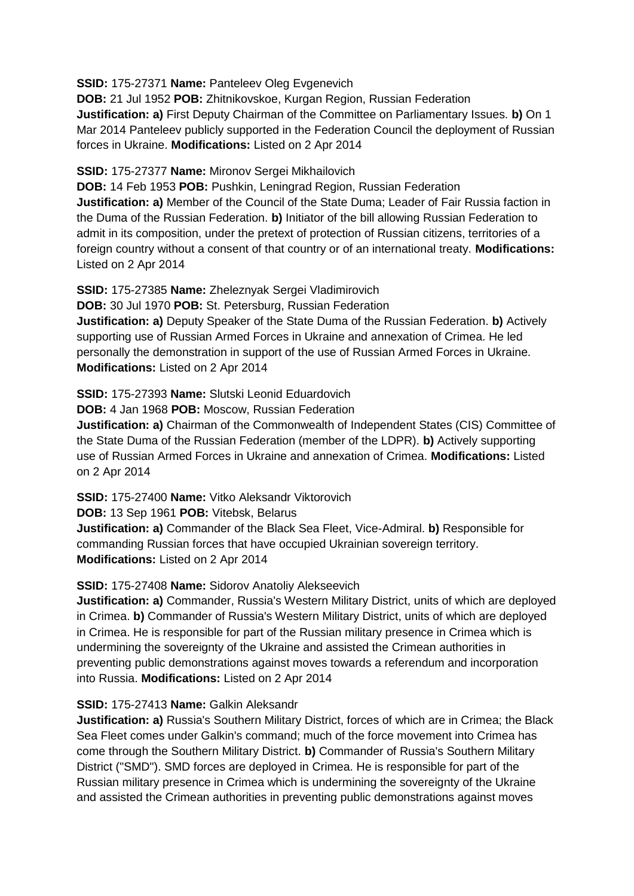#### **SSID:** 175-27371 **Name:** Panteleev Oleg Evgenevich

**DOB:** 21 Jul 1952 **POB:** Zhitnikovskoe, Kurgan Region, Russian Federation **Justification: a)** First Deputy Chairman of the Committee on Parliamentary Issues. **b)** On 1 Mar 2014 Panteleev publicly supported in the Federation Council the deployment of Russian forces in Ukraine. **Modifications:** Listed on 2 Apr 2014

#### **SSID:** 175-27377 **Name:** Mironov Sergei Mikhailovich

**DOB:** 14 Feb 1953 **POB:** Pushkin, Leningrad Region, Russian Federation **Justification: a)** Member of the Council of the State Duma; Leader of Fair Russia faction in the Duma of the Russian Federation. **b)** Initiator of the bill allowing Russian Federation to admit in its composition, under the pretext of protection of Russian citizens, territories of a foreign country without a consent of that country or of an international treaty. **Modifications:**  Listed on 2 Apr 2014

**SSID:** 175-27385 **Name:** Zheleznyak Sergei Vladimirovich

**DOB:** 30 Jul 1970 **POB:** St. Petersburg, Russian Federation

**Justification: a)** Deputy Speaker of the State Duma of the Russian Federation. **b)** Actively supporting use of Russian Armed Forces in Ukraine and annexation of Crimea. He led personally the demonstration in support of the use of Russian Armed Forces in Ukraine. **Modifications:** Listed on 2 Apr 2014

#### **SSID:** 175-27393 **Name:** Slutski Leonid Eduardovich

**DOB:** 4 Jan 1968 **POB:** Moscow, Russian Federation

**Justification: a)** Chairman of the Commonwealth of Independent States (CIS) Committee of the State Duma of the Russian Federation (member of the LDPR). **b)** Actively supporting use of Russian Armed Forces in Ukraine and annexation of Crimea. **Modifications:** Listed on 2 Apr 2014

**SSID:** 175-27400 **Name:** Vitko Aleksandr Viktorovich

**DOB:** 13 Sep 1961 **POB:** Vitebsk, Belarus

**Justification: a)** Commander of the Black Sea Fleet, Vice-Admiral. **b)** Responsible for commanding Russian forces that have occupied Ukrainian sovereign territory. **Modifications:** Listed on 2 Apr 2014

# **SSID:** 175-27408 **Name:** Sidorov Anatoliy Alekseevich

**Justification: a)** Commander, Russia's Western Military District, units of which are deployed in Crimea. **b)** Commander of Russia's Western Military District, units of which are deployed in Crimea. He is responsible for part of the Russian military presence in Crimea which is undermining the sovereignty of the Ukraine and assisted the Crimean authorities in preventing public demonstrations against moves towards a referendum and incorporation into Russia. **Modifications:** Listed on 2 Apr 2014

# **SSID:** 175-27413 **Name:** Galkin Aleksandr

**Justification: a)** Russia's Southern Military District, forces of which are in Crimea; the Black Sea Fleet comes under Galkin's command; much of the force movement into Crimea has come through the Southern Military District. **b)** Commander of Russia's Southern Military District ("SMD"). SMD forces are deployed in Crimea. He is responsible for part of the Russian military presence in Crimea which is undermining the sovereignty of the Ukraine and assisted the Crimean authorities in preventing public demonstrations against moves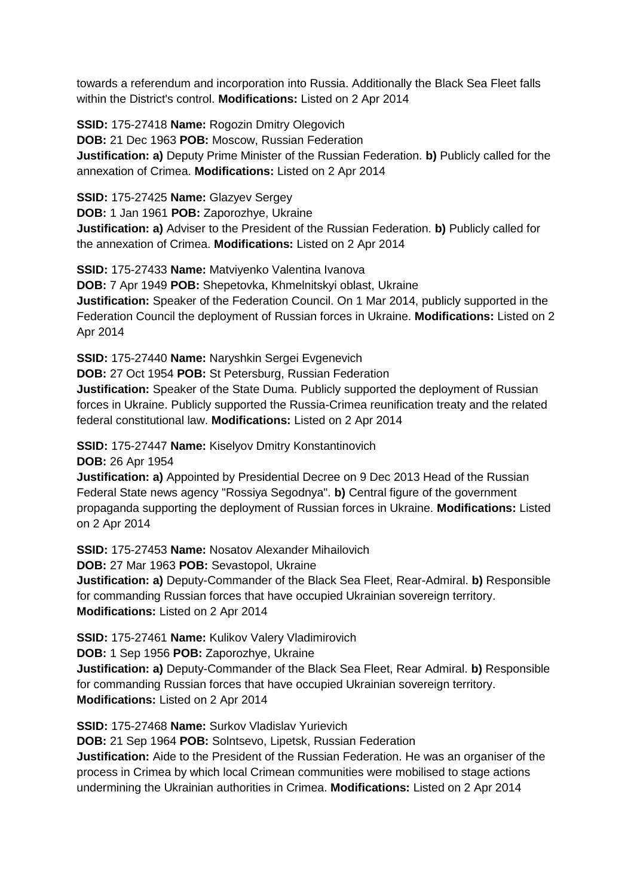towards a referendum and incorporation into Russia. Additionally the Black Sea Fleet falls within the District's control. **Modifications:** Listed on 2 Apr 2014

**SSID:** 175-27418 **Name:** Rogozin Dmitry Olegovich **DOB:** 21 Dec 1963 **POB:** Moscow, Russian Federation **Justification: a)** Deputy Prime Minister of the Russian Federation. **b)** Publicly called for the annexation of Crimea. **Modifications:** Listed on 2 Apr 2014

**SSID:** 175-27425 **Name:** Glazyev Sergey

**DOB:** 1 Jan 1961 **POB:** Zaporozhye, Ukraine **Justification: a)** Adviser to the President of the Russian Federation. **b)** Publicly called for the annexation of Crimea. **Modifications:** Listed on 2 Apr 2014

**SSID:** 175-27433 **Name:** Matviyenko Valentina Ivanova

**DOB:** 7 Apr 1949 **POB:** Shepetovka, Khmelnitskyi oblast, Ukraine **Justification:** Speaker of the Federation Council. On 1 Mar 2014, publicly supported in the Federation Council the deployment of Russian forces in Ukraine. **Modifications:** Listed on 2 Apr 2014

**SSID:** 175-27440 **Name:** Naryshkin Sergei Evgenevich

**DOB:** 27 Oct 1954 **POB:** St Petersburg, Russian Federation

**Justification:** Speaker of the State Duma. Publicly supported the deployment of Russian forces in Ukraine. Publicly supported the Russia-Crimea reunification treaty and the related federal constitutional law. **Modifications:** Listed on 2 Apr 2014

**SSID:** 175-27447 **Name:** Kiselyov Dmitry Konstantinovich

**DOB:** 26 Apr 1954

**Justification: a)** Appointed by Presidential Decree on 9 Dec 2013 Head of the Russian Federal State news agency "Rossiya Segodnya". **b)** Central figure of the government propaganda supporting the deployment of Russian forces in Ukraine. **Modifications:** Listed on 2 Apr 2014

**SSID:** 175-27453 **Name:** Nosatov Alexander Mihailovich

**DOB:** 27 Mar 1963 **POB:** Sevastopol, Ukraine

**Justification: a)** Deputy-Commander of the Black Sea Fleet, Rear-Admiral. **b)** Responsible for commanding Russian forces that have occupied Ukrainian sovereign territory. **Modifications:** Listed on 2 Apr 2014

**SSID:** 175-27461 **Name:** Kulikov Valery Vladimirovich

**DOB:** 1 Sep 1956 **POB:** Zaporozhye, Ukraine

**Justification: a)** Deputy-Commander of the Black Sea Fleet, Rear Admiral. **b)** Responsible for commanding Russian forces that have occupied Ukrainian sovereign territory. **Modifications:** Listed on 2 Apr 2014

**SSID:** 175-27468 **Name:** Surkov Vladislav Yurievich

**DOB:** 21 Sep 1964 **POB:** Solntsevo, Lipetsk, Russian Federation

**Justification:** Aide to the President of the Russian Federation. He was an organiser of the process in Crimea by which local Crimean communities were mobilised to stage actions undermining the Ukrainian authorities in Crimea. **Modifications:** Listed on 2 Apr 2014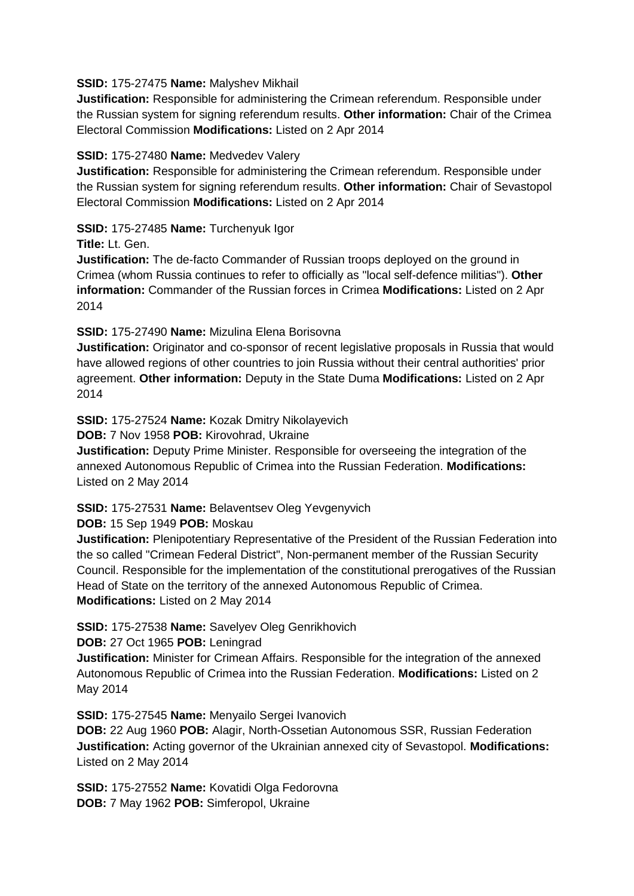#### **SSID:** 175-27475 **Name:** Malyshev Mikhail

**Justification:** Responsible for administering the Crimean referendum. Responsible under the Russian system for signing referendum results. **Other information:** Chair of the Crimea Electoral Commission **Modifications:** Listed on 2 Apr 2014

# **SSID:** 175-27480 **Name:** Medvedev Valery

**Justification:** Responsible for administering the Crimean referendum. Responsible under the Russian system for signing referendum results. **Other information:** Chair of Sevastopol Electoral Commission **Modifications:** Listed on 2 Apr 2014

# **SSID:** 175-27485 **Name:** Turchenyuk Igor

**Title:** Lt. Gen.

**Justification:** The de-facto Commander of Russian troops deployed on the ground in Crimea (whom Russia continues to refer to officially as "local self-defence militias"). **Other information:** Commander of the Russian forces in Crimea **Modifications:** Listed on 2 Apr 2014

# **SSID:** 175-27490 **Name:** Mizulina Elena Borisovna

**Justification:** Originator and co-sponsor of recent legislative proposals in Russia that would have allowed regions of other countries to join Russia without their central authorities' prior agreement. **Other information:** Deputy in the State Duma **Modifications:** Listed on 2 Apr 2014

# **SSID:** 175-27524 **Name:** Kozak Dmitry Nikolayevich

**DOB:** 7 Nov 1958 **POB:** Kirovohrad, Ukraine

**Justification:** Deputy Prime Minister. Responsible for overseeing the integration of the annexed Autonomous Republic of Crimea into the Russian Federation. **Modifications:**  Listed on 2 May 2014

# **SSID:** 175-27531 **Name:** Belaventsev Oleg Yevgenyvich

**DOB:** 15 Sep 1949 **POB:** Moskau

**Justification:** Plenipotentiary Representative of the President of the Russian Federation into the so called "Crimean Federal District", Non-permanent member of the Russian Security Council. Responsible for the implementation of the constitutional prerogatives of the Russian Head of State on the territory of the annexed Autonomous Republic of Crimea. **Modifications:** Listed on 2 May 2014

# **SSID:** 175-27538 **Name:** Savelyev Oleg Genrikhovich

**DOB:** 27 Oct 1965 **POB:** Leningrad

**Justification:** Minister for Crimean Affairs. Responsible for the integration of the annexed Autonomous Republic of Crimea into the Russian Federation. **Modifications:** Listed on 2 May 2014

**SSID:** 175-27545 **Name:** Menyailo Sergei Ivanovich

**DOB:** 22 Aug 1960 **POB:** Alagir, North-Ossetian Autonomous SSR, Russian Federation **Justification:** Acting governor of the Ukrainian annexed city of Sevastopol. **Modifications:**  Listed on 2 May 2014

**SSID: 175-27552 Name: Kovatidi Olga Fedorovna DOB:** 7 May 1962 **POB:** Simferopol, Ukraine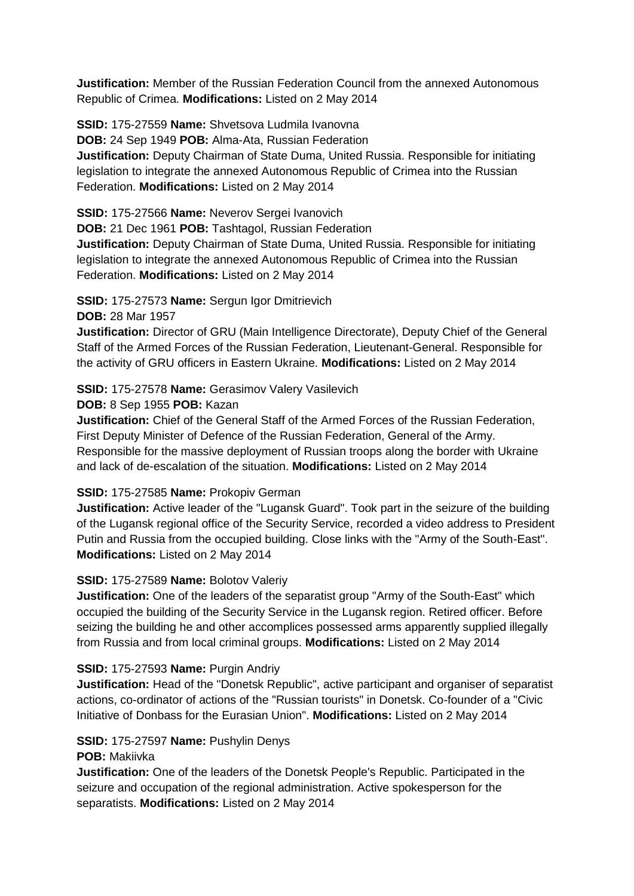**Justification:** Member of the Russian Federation Council from the annexed Autonomous Republic of Crimea. **Modifications:** Listed on 2 May 2014

**SSID:** 175-27559 **Name:** Shvetsova Ludmila Ivanovna

**DOB:** 24 Sep 1949 **POB:** Alma-Ata, Russian Federation

**Justification:** Deputy Chairman of State Duma, United Russia. Responsible for initiating legislation to integrate the annexed Autonomous Republic of Crimea into the Russian Federation. **Modifications:** Listed on 2 May 2014

**SSID:** 175-27566 **Name:** Neverov Sergei Ivanovich

**DOB:** 21 Dec 1961 **POB:** Tashtagol, Russian Federation

**Justification:** Deputy Chairman of State Duma, United Russia. Responsible for initiating legislation to integrate the annexed Autonomous Republic of Crimea into the Russian Federation. **Modifications:** Listed on 2 May 2014

**SSID:** 175-27573 **Name:** Sergun Igor Dmitrievich

#### **DOB:** 28 Mar 1957

**Justification:** Director of GRU (Main Intelligence Directorate), Deputy Chief of the General Staff of the Armed Forces of the Russian Federation, Lieutenant-General. Responsible for the activity of GRU officers in Eastern Ukraine. **Modifications:** Listed on 2 May 2014

# **SSID:** 175-27578 **Name:** Gerasimov Valery Vasilevich

#### **DOB:** 8 Sep 1955 **POB:** Kazan

**Justification:** Chief of the General Staff of the Armed Forces of the Russian Federation, First Deputy Minister of Defence of the Russian Federation, General of the Army. Responsible for the massive deployment of Russian troops along the border with Ukraine and lack of de-escalation of the situation. **Modifications:** Listed on 2 May 2014

# **SSID:** 175-27585 **Name:** Prokopiv German

**Justification:** Active leader of the "Lugansk Guard". Took part in the seizure of the building of the Lugansk regional office of the Security Service, recorded a video address to President Putin and Russia from the occupied building. Close links with the "Army of the South-East". **Modifications:** Listed on 2 May 2014

# **SSID:** 175-27589 **Name:** Bolotov Valeriy

**Justification:** One of the leaders of the separatist group "Army of the South-East" which occupied the building of the Security Service in the Lugansk region. Retired officer. Before seizing the building he and other accomplices possessed arms apparently supplied illegally from Russia and from local criminal groups. **Modifications:** Listed on 2 May 2014

# **SSID:** 175-27593 **Name:** Purgin Andriy

**Justification:** Head of the "Donetsk Republic", active participant and organiser of separatist actions, co-ordinator of actions of the "Russian tourists" in Donetsk. Co-founder of a "Civic Initiative of Donbass for the Eurasian Union". **Modifications:** Listed on 2 May 2014

#### **SSID:** 175-27597 **Name:** Pushylin Denys

#### **POB:** Makiivka

**Justification:** One of the leaders of the Donetsk People's Republic. Participated in the seizure and occupation of the regional administration. Active spokesperson for the separatists. **Modifications:** Listed on 2 May 2014